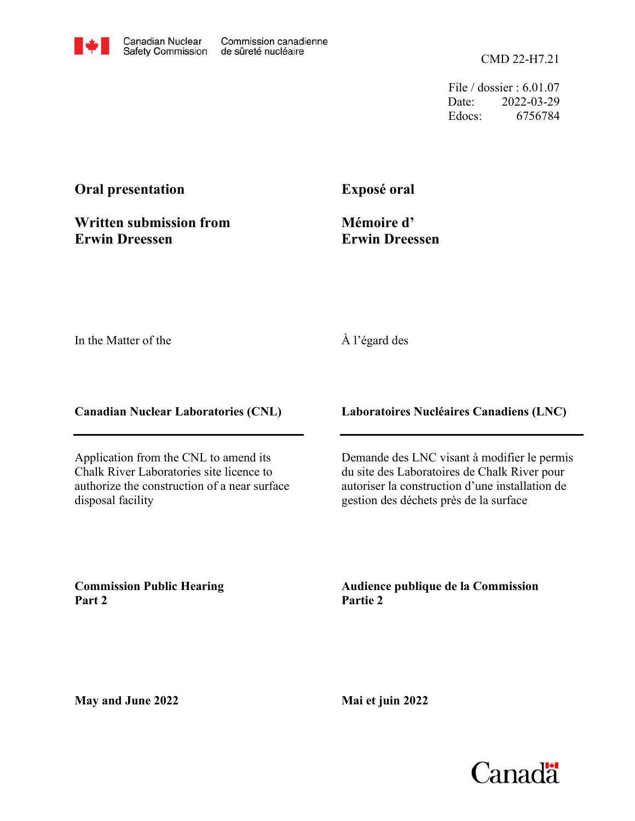CMD 22-H7.21

File / dossier : 6.01.07 Date: 2022-03-29 Edocs: 6756784

## **Oral presentation**

**Written submission from Erwin Dreessen**

**Exposé oral**

**Mémoire d' Erwin Dreessen**

In the Matter of the

## À l'égard des

**Canadian Nuclear Laboratories (CNL)**

Application from the CNL to amend its Chalk River Laboratories site licence to authorize the construction of a near surface disposal facility

**Laboratoires Nucléaires Canadiens (LNC)**

Demande des LNC visant à modifier le permis du site des Laboratoires de Chalk River pour autoriser la construction d'une installation de gestion des déchets près de la surface

**Commission Public Hearing Part 2**

**Audience publique de la Commission Partie 2**

**May and June 2022**

**Mai et juin 2022**

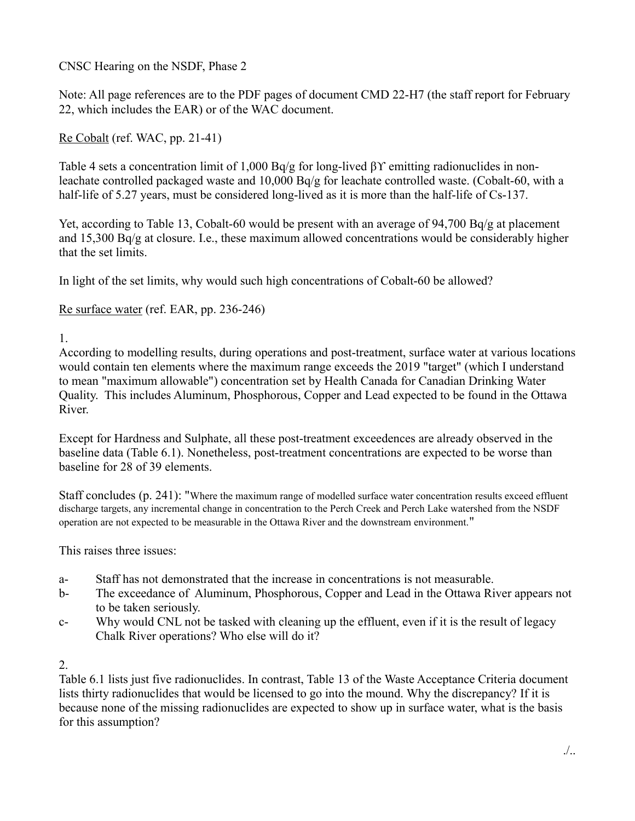CNSC Hearing on the NSDF, Phase 2

Note: All page references are to the PDF pages of document CMD 22-H7 (the staff report for February 22, which includes the EAR) or of the WAC document.

Re Cobalt (ref. WAC, pp. 21-41)

Table 4 sets a concentration limit of 1,000 Bq/g for long-lived βϒ emitting radionuclides in nonleachate controlled packaged waste and 10,000 Bq/g for leachate controlled waste. (Cobalt-60, with a half-life of 5.27 years, must be considered long-lived as it is more than the half-life of Cs-137.

Yet, according to Table 13, Cobalt-60 would be present with an average of 94,700 Bq/g at placement and 15,300 Bq/g at closure. I.e., these maximum allowed concentrations would be considerably higher that the set limits.

In light of the set limits, why would such high concentrations of Cobalt-60 be allowed?

Re surface water (ref. EAR, pp. 236-246)

1.

According to modelling results, during operations and post-treatment, surface water at various locations would contain ten elements where the maximum range exceeds the 2019 "target" (which I understand to mean "maximum allowable") concentration set by Health Canada for Canadian Drinking Water Quality. This includes Aluminum, Phosphorous, Copper and Lead expected to be found in the Ottawa River.

Except for Hardness and Sulphate, all these post-treatment exceedences are already observed in the baseline data (Table 6.1). Nonetheless, post-treatment concentrations are expected to be worse than baseline for 28 of 39 elements.

Staff concludes (p. 241): "Where the maximum range of modelled surface water concentration results exceed effluent discharge targets, any incremental change in concentration to the Perch Creek and Perch Lake watershed from the NSDF operation are not expected to be measurable in the Ottawa River and the downstream environment."

This raises three issues:

- a- Staff has not demonstrated that the increase in concentrations is not measurable.
- b- The exceedance of Aluminum, Phosphorous, Copper and Lead in the Ottawa River appears not to be taken seriously.
- c- Why would CNL not be tasked with cleaning up the effluent, even if it is the result of legacy Chalk River operations? Who else will do it?

## $2<sub>1</sub>$

Table 6.1 lists just five radionuclides. In contrast, Table 13 of the Waste Acceptance Criteria document lists thirty radionuclides that would be licensed to go into the mound. Why the discrepancy? If it is because none of the missing radionuclides are expected to show up in surface water, what is the basis for this assumption?